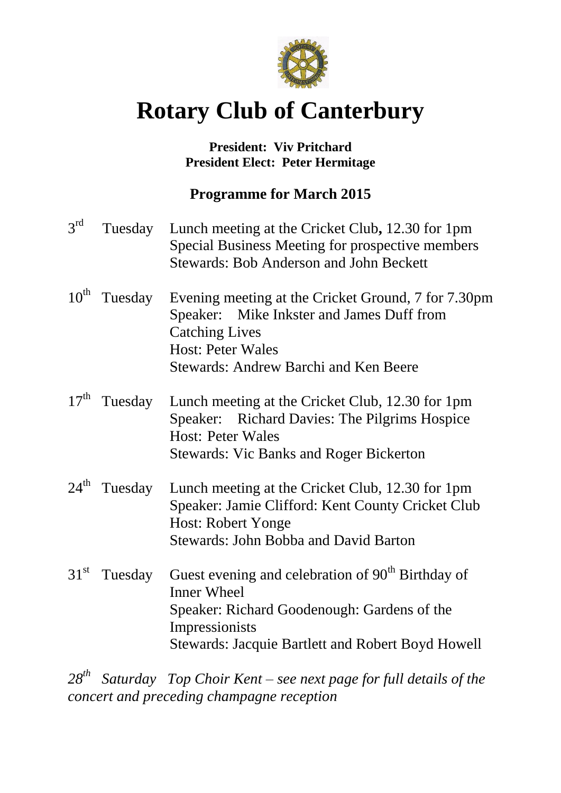

# **Rotary Club of Canterbury**

## **President: Viv Pritchard President Elect: Peter Hermitage**

## **Programme for March 2015**

| $3^{\text{rd}}$  | Tuesday | Lunch meeting at the Cricket Club, 12.30 for 1pm<br>Special Business Meeting for prospective members<br><b>Stewards: Bob Anderson and John Beckett</b>                                                           |
|------------------|---------|------------------------------------------------------------------------------------------------------------------------------------------------------------------------------------------------------------------|
| $10^{\text{th}}$ | Tuesday | Evening meeting at the Cricket Ground, 7 for 7.30pm<br>Speaker: Mike Inkster and James Duff from<br><b>Catching Lives</b><br><b>Host: Peter Wales</b><br><b>Stewards: Andrew Barchi and Ken Beere</b>            |
| $17^{\text{th}}$ | Tuesday | Lunch meeting at the Cricket Club, 12.30 for 1pm<br>Speaker: Richard Davies: The Pilgrims Hospice<br><b>Host: Peter Wales</b><br><b>Stewards: Vic Banks and Roger Bickerton</b>                                  |
| $24^{\text{th}}$ | Tuesday | Lunch meeting at the Cricket Club, 12.30 for 1pm<br>Speaker: Jamie Clifford: Kent County Cricket Club<br><b>Host: Robert Yonge</b><br><b>Stewards: John Bobba and David Barton</b>                               |
| $31^{st}$        | Tuesday | Guest evening and celebration of 90 <sup>th</sup> Birthday of<br><b>Inner Wheel</b><br>Speaker: Richard Goodenough: Gardens of the<br>Impressionists<br><b>Stewards: Jacquie Bartlett and Robert Boyd Howell</b> |

*28th Saturday Top Choir Kent – see next page for full details of the concert and preceding champagne reception*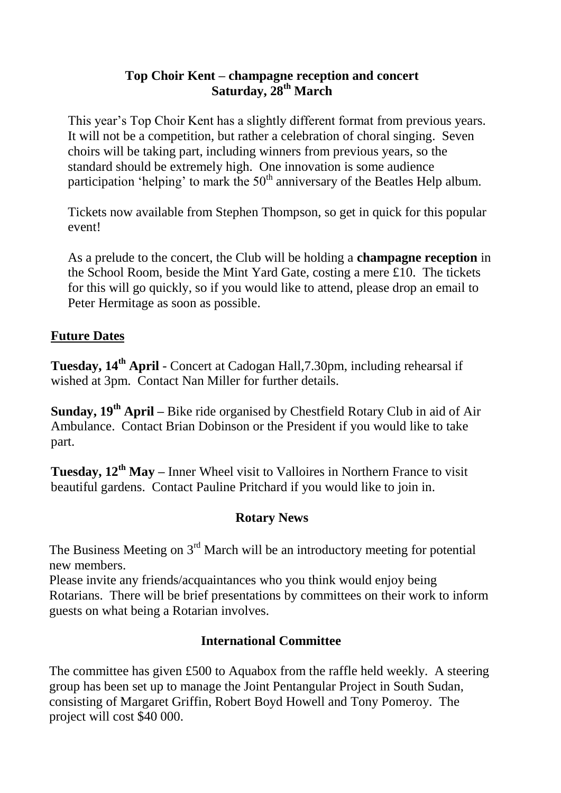### **Top Choir Kent – champagne reception and concert Saturday, 28th March**

This year's Top Choir Kent has a slightly different format from previous years. It will not be a competition, but rather a celebration of choral singing. Seven choirs will be taking part, including winners from previous years, so the standard should be extremely high. One innovation is some audience participation 'helping' to mark the  $50<sup>th</sup>$  anniversary of the Beatles Help album.

Tickets now available from Stephen Thompson, so get in quick for this popular event!

As a prelude to the concert, the Club will be holding a **champagne reception** in the School Room, beside the Mint Yard Gate, costing a mere £10. The tickets for this will go quickly, so if you would like to attend, please drop an email to Peter Hermitage as soon as possible.

## **Future Dates**

**Tuesday, 14th April** - Concert at Cadogan Hall,7.30pm, including rehearsal if wished at 3pm. Contact Nan Miller for further details.

**Sunday, 19th April –** Bike ride organised by Chestfield Rotary Club in aid of Air Ambulance. Contact Brian Dobinson or the President if you would like to take part.

**Tuesday, 12th May –** Inner Wheel visit to Valloires in Northern France to visit beautiful gardens. Contact Pauline Pritchard if you would like to join in.

## **Rotary News**

The Business Meeting on  $3<sup>rd</sup>$  March will be an introductory meeting for potential new members.

Please invite any friends/acquaintances who you think would enjoy being Rotarians. There will be brief presentations by committees on their work to inform guests on what being a Rotarian involves.

## **International Committee**

The committee has given £500 to Aquabox from the raffle held weekly. A steering group has been set up to manage the Joint Pentangular Project in South Sudan, consisting of Margaret Griffin, Robert Boyd Howell and Tony Pomeroy. The project will cost \$40 000.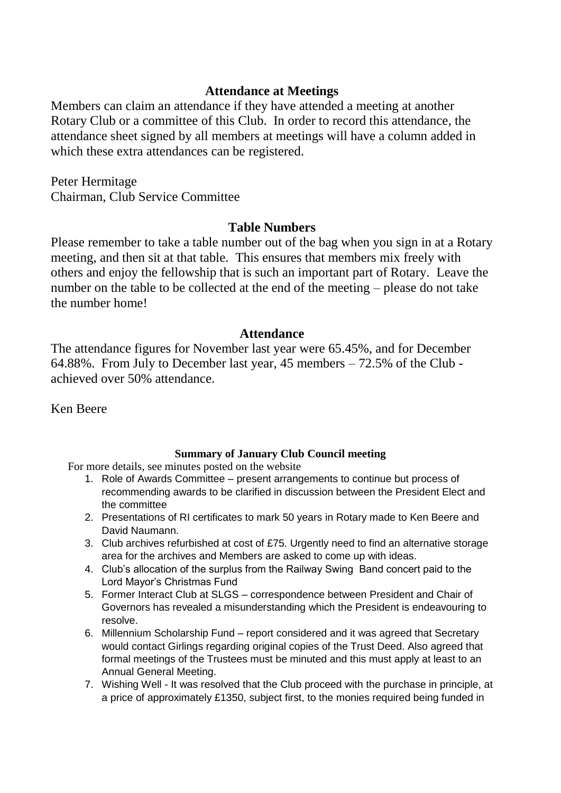#### **Attendance at Meetings**

Members can claim an attendance if they have attended a meeting at another Rotary Club or a committee of this Club. In order to record this attendance, the attendance sheet signed by all members at meetings will have a column added in which these extra attendances can be registered.

Peter Hermitage Chairman, Club Service Committee

#### **Table Numbers**

Please remember to take a table number out of the bag when you sign in at a Rotary meeting, and then sit at that table. This ensures that members mix freely with others and enjoy the fellowship that is such an important part of Rotary. Leave the number on the table to be collected at the end of the meeting – please do not take the number home!

#### **Attendance**

The attendance figures for November last year were 65.45%, and for December 64.88%. From July to December last year, 45 members – 72.5% of the Club achieved over 50% attendance.

Ken Beere

#### **Summary of January Club Council meeting**

For more details, see minutes posted on the website

- 1. Role of Awards Committee present arrangements to continue but process of recommending awards to be clarified in discussion between the President Elect and the committee
- 2. Presentations of RI certificates to mark 50 years in Rotary made to Ken Beere and David Naumann.
- 3. Club archives refurbished at cost of £75. Urgently need to find an alternative storage area for the archives and Members are asked to come up with ideas.
- 4. Club's allocation of the surplus from the Railway Swing Band concert paid to the Lord Mayor's Christmas Fund
- 5. Former Interact Club at SLGS correspondence between President and Chair of Governors has revealed a misunderstanding which the President is endeavouring to resolve.
- 6. Millennium Scholarship Fund report considered and it was agreed that Secretary would contact Girlings regarding original copies of the Trust Deed. Also agreed that formal meetings of the Trustees must be minuted and this must apply at least to an Annual General Meeting.
- 7. Wishing Well It was resolved that the Club proceed with the purchase in principle, at a price of approximately £1350, subject first, to the monies required being funded in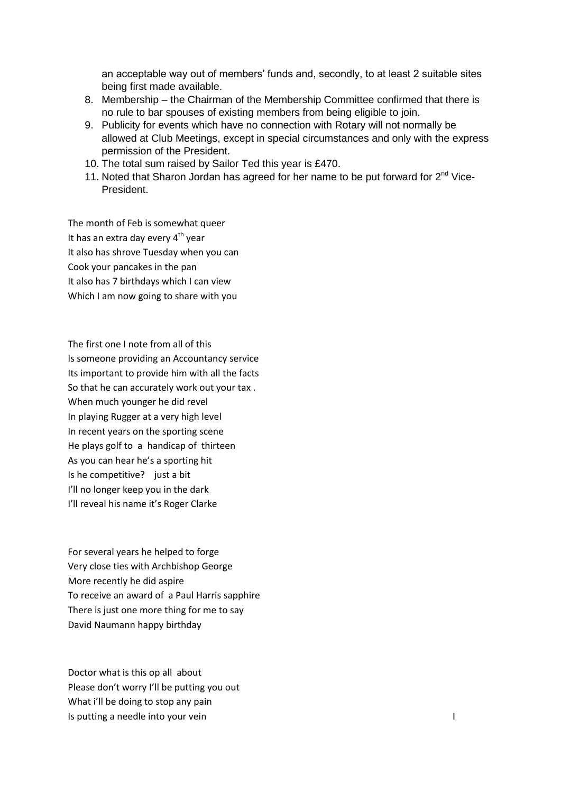an acceptable way out of members' funds and, secondly, to at least 2 suitable sites being first made available.

- 8. Membership the Chairman of the Membership Committee confirmed that there is no rule to bar spouses of existing members from being eligible to join.
- 9. Publicity for events which have no connection with Rotary will not normally be allowed at Club Meetings, except in special circumstances and only with the express permission of the President.
- 10. The total sum raised by Sailor Ted this year is £470.
- 11. Noted that Sharon Jordan has agreed for her name to be put forward for  $2^{nd}$  Vice-President.

The month of Feb is somewhat queer It has an extra day every  $4<sup>th</sup>$  year It also has shrove Tuesday when you can Cook your pancakes in the pan It also has 7 birthdays which I can view Which I am now going to share with you

The first one I note from all of this Is someone providing an Accountancy service Its important to provide him with all the facts So that he can accurately work out your tax . When much younger he did revel In playing Rugger at a very high level In recent years on the sporting scene He plays golf to a handicap of thirteen As you can hear he's a sporting hit Is he competitive? just a bit I'll no longer keep you in the dark I'll reveal his name it's Roger Clarke

For several years he helped to forge Very close ties with Archbishop George More recently he did aspire To receive an award of a Paul Harris sapphire There is just one more thing for me to say David Naumann happy birthday

Doctor what is this op all about Please don't worry I'll be putting you out What i'll be doing to stop any pain Is putting a needle into your vein I are interested by the I and I are in the I and I are in the I and I are in